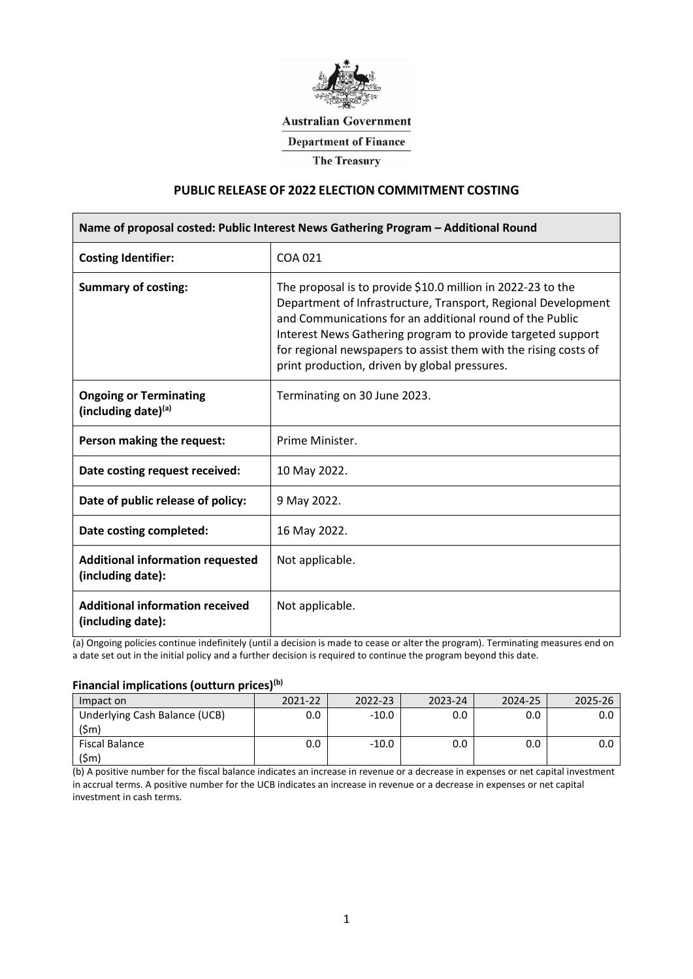

## **Australian Government**

**Department of Finance** 

**The Treasury** 

# **PUBLIC RELEASE OF 2022 ELECTION COMMITMENT COSTING**

| Name of proposal costed: Public Interest News Gathering Program - Additional Round |                                                                                                                                                                                                                                                                                                                                                                             |  |  |  |
|------------------------------------------------------------------------------------|-----------------------------------------------------------------------------------------------------------------------------------------------------------------------------------------------------------------------------------------------------------------------------------------------------------------------------------------------------------------------------|--|--|--|
| <b>Costing Identifier:</b>                                                         | COA 021                                                                                                                                                                                                                                                                                                                                                                     |  |  |  |
| <b>Summary of costing:</b>                                                         | The proposal is to provide \$10.0 million in 2022-23 to the<br>Department of Infrastructure, Transport, Regional Development<br>and Communications for an additional round of the Public<br>Interest News Gathering program to provide targeted support<br>for regional newspapers to assist them with the rising costs of<br>print production, driven by global pressures. |  |  |  |
| <b>Ongoing or Terminating</b><br>(including date) $(a)$                            | Terminating on 30 June 2023.                                                                                                                                                                                                                                                                                                                                                |  |  |  |
| Person making the request:                                                         | Prime Minister.                                                                                                                                                                                                                                                                                                                                                             |  |  |  |
| Date costing request received:                                                     | 10 May 2022.                                                                                                                                                                                                                                                                                                                                                                |  |  |  |
| Date of public release of policy:                                                  | 9 May 2022.                                                                                                                                                                                                                                                                                                                                                                 |  |  |  |
| Date costing completed:                                                            | 16 May 2022.                                                                                                                                                                                                                                                                                                                                                                |  |  |  |
| <b>Additional information requested</b><br>(including date):                       | Not applicable.                                                                                                                                                                                                                                                                                                                                                             |  |  |  |
| <b>Additional information received</b><br>(including date):                        | Not applicable.                                                                                                                                                                                                                                                                                                                                                             |  |  |  |

(a) Ongoing policies continue indefinitely (until a decision is made to cease or alter the program). Terminating measures end on a date set out in the initial policy and a further decision is required to continue the program beyond this date.

#### **Financial implications (outturn prices)(b)**

| Impact on                             | 71-77 | วว_ว⊿ | 2024-25 |  |
|---------------------------------------|-------|-------|---------|--|
| Underlying Cash Balance (UCB)<br>(Sm) |       |       |         |  |
| iscal Balance                         |       |       |         |  |

(b) A positive number for the fiscal balance indicates an increase in revenue or a decrease in expenses or net capital investment in accrual terms. A positive number for the UCB indicates an increase in revenue or a decrease in expenses or net capital investment in cash terms.